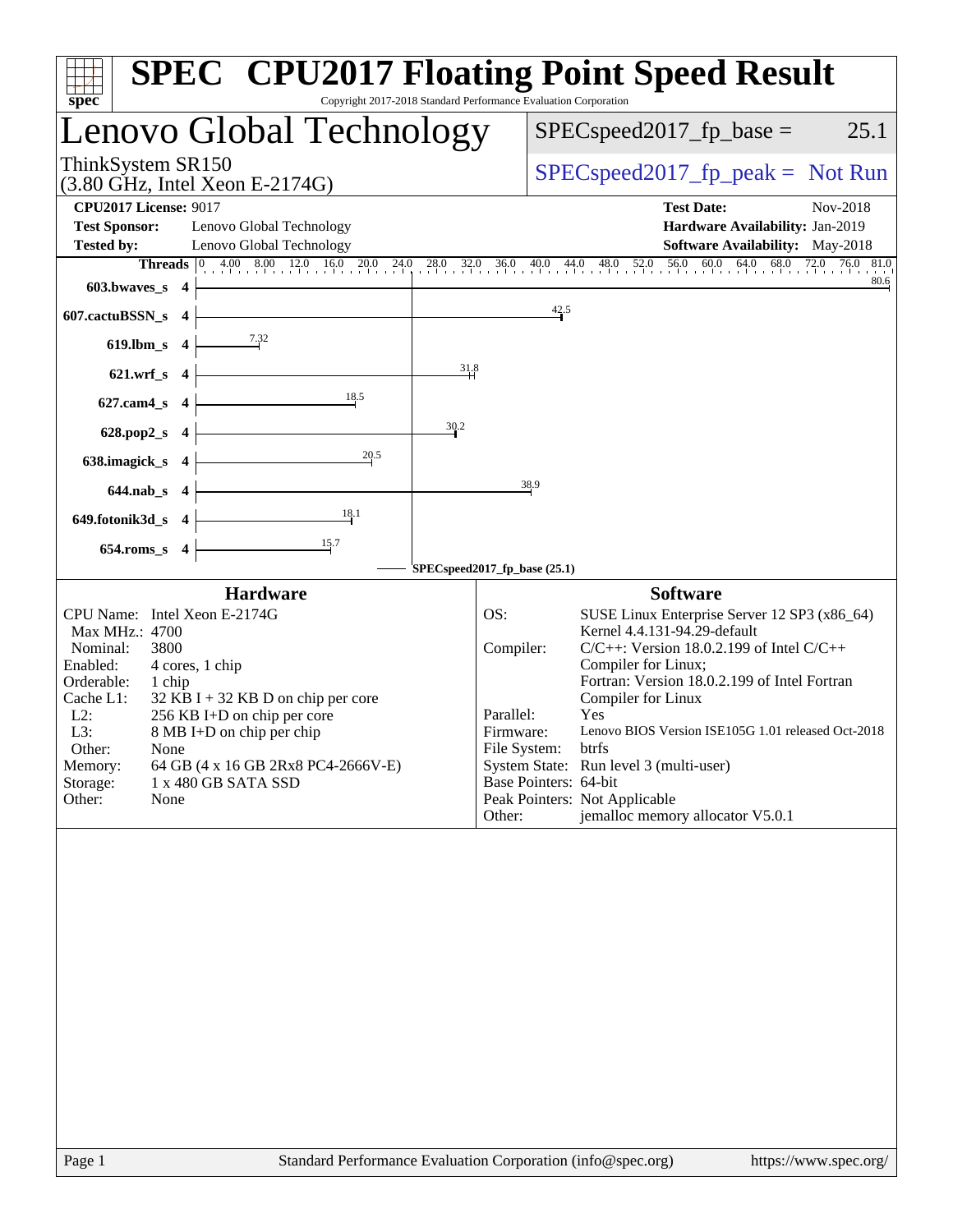| spec <sup>®</sup>                                                                                                                                                                                                                                                                                                                                                                | <b>SPEC<sup>®</sup> CPU2017 Floating Point Speed Result</b><br>Copyright 2017-2018 Standard Performance Evaluation Corporation                                                                                                                                                                                                                                                                                                                                                                                |
|----------------------------------------------------------------------------------------------------------------------------------------------------------------------------------------------------------------------------------------------------------------------------------------------------------------------------------------------------------------------------------|---------------------------------------------------------------------------------------------------------------------------------------------------------------------------------------------------------------------------------------------------------------------------------------------------------------------------------------------------------------------------------------------------------------------------------------------------------------------------------------------------------------|
| Lenovo Global Technology                                                                                                                                                                                                                                                                                                                                                         | $SPEC speed2017fp base =$<br>25.1                                                                                                                                                                                                                                                                                                                                                                                                                                                                             |
| ThinkSystem SR150<br>$(3.80 \text{ GHz}, \text{Intel Xeon E-2174G})$                                                                                                                                                                                                                                                                                                             | $SPEC speed2017fr peak = Not Run$                                                                                                                                                                                                                                                                                                                                                                                                                                                                             |
| <b>CPU2017 License: 9017</b>                                                                                                                                                                                                                                                                                                                                                     | <b>Test Date:</b><br>Nov-2018                                                                                                                                                                                                                                                                                                                                                                                                                                                                                 |
| <b>Test Sponsor:</b><br>Lenovo Global Technology                                                                                                                                                                                                                                                                                                                                 | Hardware Availability: Jan-2019                                                                                                                                                                                                                                                                                                                                                                                                                                                                               |
| <b>Tested by:</b><br>Lenovo Global Technology                                                                                                                                                                                                                                                                                                                                    | <b>Software Availability:</b> May-2018                                                                                                                                                                                                                                                                                                                                                                                                                                                                        |
| 603.bwaves_s $4$                                                                                                                                                                                                                                                                                                                                                                 | Threads 0 4.00 8.00 12.0 16.0 20.0 24.0 28.0 32.0 36.0 40.0 44.0 48.0 52.0 56.0 60.0 64.0 68.0 72.0 76.0 81.0<br>80.6                                                                                                                                                                                                                                                                                                                                                                                         |
| 607.cactuBSSN_s $4$                                                                                                                                                                                                                                                                                                                                                              | 42.5                                                                                                                                                                                                                                                                                                                                                                                                                                                                                                          |
| 619.lbm_s 4 $\frac{7.32}{ }$                                                                                                                                                                                                                                                                                                                                                     |                                                                                                                                                                                                                                                                                                                                                                                                                                                                                                               |
| 621.wrf_s $4 \mid$                                                                                                                                                                                                                                                                                                                                                               | 31.8                                                                                                                                                                                                                                                                                                                                                                                                                                                                                                          |
| 627.cam4_s 4 $\overline{\qquad}$ 18.5                                                                                                                                                                                                                                                                                                                                            |                                                                                                                                                                                                                                                                                                                                                                                                                                                                                                               |
| 628.pop2_s $4 \downarrow$                                                                                                                                                                                                                                                                                                                                                        | 30.2                                                                                                                                                                                                                                                                                                                                                                                                                                                                                                          |
| 638.imagick_s $4$<br>$\frac{20.5}{2}$                                                                                                                                                                                                                                                                                                                                            |                                                                                                                                                                                                                                                                                                                                                                                                                                                                                                               |
| $644.nab_s$ 4                                                                                                                                                                                                                                                                                                                                                                    | 38.9                                                                                                                                                                                                                                                                                                                                                                                                                                                                                                          |
| 649.fotonik3d_s 4 $\frac{18.1}{15}$                                                                                                                                                                                                                                                                                                                                              |                                                                                                                                                                                                                                                                                                                                                                                                                                                                                                               |
| $654$ .roms_s 4                                                                                                                                                                                                                                                                                                                                                                  | SPECspeed2017_fp_base (25.1)                                                                                                                                                                                                                                                                                                                                                                                                                                                                                  |
| <b>Hardware</b>                                                                                                                                                                                                                                                                                                                                                                  | <b>Software</b>                                                                                                                                                                                                                                                                                                                                                                                                                                                                                               |
| CPU Name: Intel Xeon E-2174G<br>Max MHz.: 4700<br>Nominal:<br>3800<br>Enabled:<br>4 cores, 1 chip<br>Orderable:<br>1 chip<br>Cache L1:<br>$32$ KB I + 32 KB D on chip per core<br>L2:<br>256 KB I+D on chip per core<br>L3:<br>8 MB I+D on chip per chip<br>Other:<br>None<br>64 GB (4 x 16 GB 2Rx8 PC4-2666V-E)<br>Memory:<br>1 x 480 GB SATA SSD<br>Storage:<br>Other:<br>None | OS:<br>SUSE Linux Enterprise Server 12 SP3 (x86_64)<br>Kernel 4.4.131-94.29-default<br>Compiler:<br>$C/C++$ : Version 18.0.2.199 of Intel $C/C++$<br>Compiler for Linux;<br>Fortran: Version 18.0.2.199 of Intel Fortran<br>Compiler for Linux<br>Parallel:<br>Yes<br>Lenovo BIOS Version ISE105G 1.01 released Oct-2018<br>Firmware:<br>File System: btrfs<br>System State: Run level 3 (multi-user)<br>Base Pointers: 64-bit<br>Peak Pointers: Not Applicable<br>jemalloc memory allocator V5.0.1<br>Other: |
| $D2$ $\alpha$ 1                                                                                                                                                                                                                                                                                                                                                                  | http://www.<br>Standard Performance Evaluation Corporation (info@spec.org)                                                                                                                                                                                                                                                                                                                                                                                                                                    |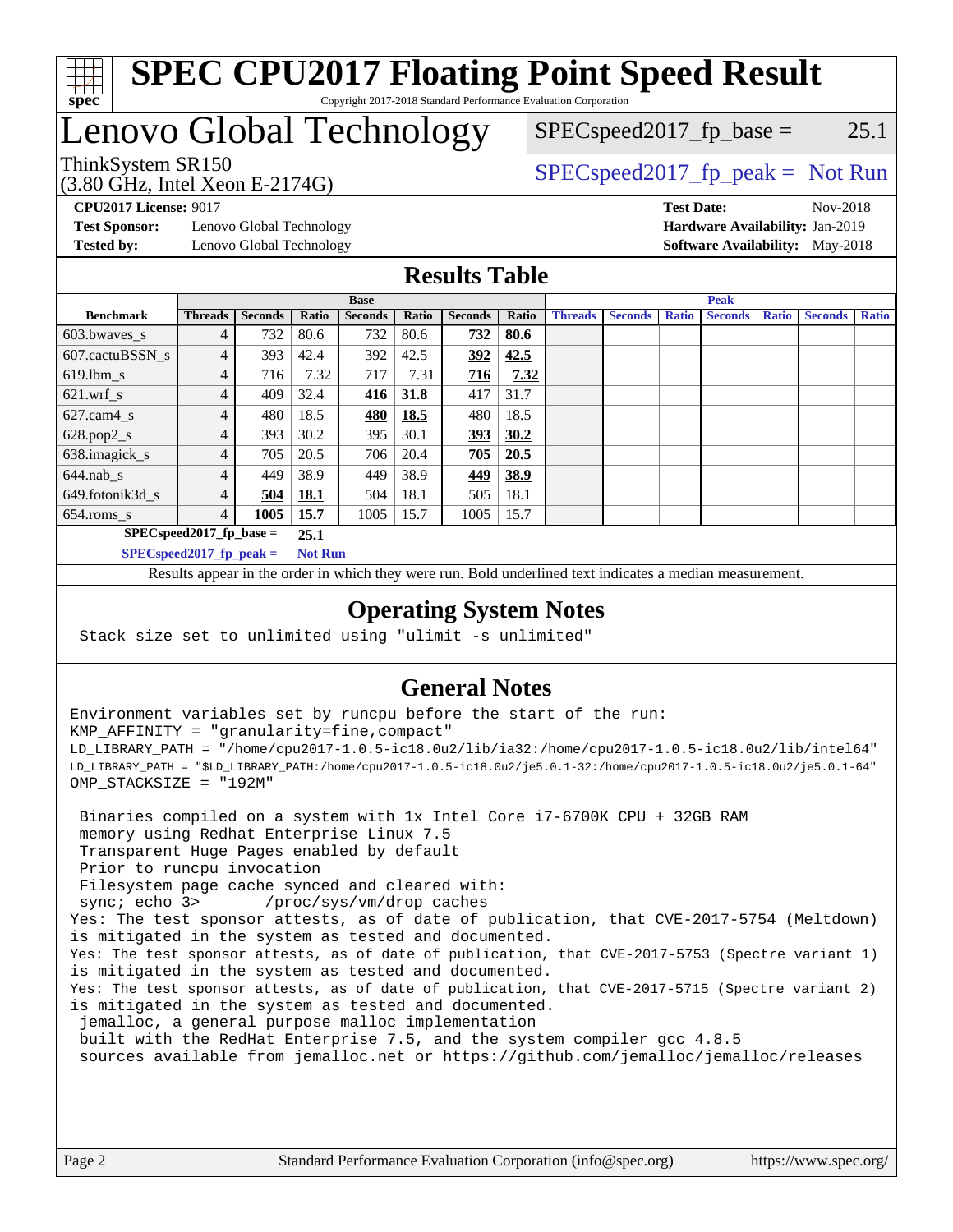

#### **[SPEC CPU2017 Floating Point Speed Result](http://www.spec.org/auto/cpu2017/Docs/result-fields.html#SPECCPU2017FloatingPointSpeedResult)** Copyright 2017-2018 Standard Performance Evaluation Corporation

# Lenovo Global Technology

(3.80 GHz, Intel Xeon E-2174G)

ThinkSystem SR150<br>  $SPEC speed2017$  [p\_peak = Not Run  $SPEC speed2017_fp\_base = 25.1$ 

**[Test Sponsor:](http://www.spec.org/auto/cpu2017/Docs/result-fields.html#TestSponsor)** Lenovo Global Technology **[Hardware Availability:](http://www.spec.org/auto/cpu2017/Docs/result-fields.html#HardwareAvailability)** Jan-2019 **[Tested by:](http://www.spec.org/auto/cpu2017/Docs/result-fields.html#Testedby)** Lenovo Global Technology **[Software Availability:](http://www.spec.org/auto/cpu2017/Docs/result-fields.html#SoftwareAvailability)** May-2018

**[CPU2017 License:](http://www.spec.org/auto/cpu2017/Docs/result-fields.html#CPU2017License)** 9017 **[Test Date:](http://www.spec.org/auto/cpu2017/Docs/result-fields.html#TestDate)** Nov-2018

#### **[Results Table](http://www.spec.org/auto/cpu2017/Docs/result-fields.html#ResultsTable)**

|                             | <b>Base</b>    |                |             |                |       |                | <b>Peak</b> |                |                |              |                |              |                |              |
|-----------------------------|----------------|----------------|-------------|----------------|-------|----------------|-------------|----------------|----------------|--------------|----------------|--------------|----------------|--------------|
| <b>Benchmark</b>            | <b>Threads</b> | <b>Seconds</b> | Ratio       | <b>Seconds</b> | Ratio | <b>Seconds</b> | Ratio       | <b>Threads</b> | <b>Seconds</b> | <b>Ratio</b> | <b>Seconds</b> | <b>Ratio</b> | <b>Seconds</b> | <b>Ratio</b> |
| 603.bwayes s                | 4              | 732            | 80.6        | 732            | 80.6  | 732            | 80.6        |                |                |              |                |              |                |              |
| 607.cactuBSSN s             |                | 393            | 42.4        | 392            | 42.5  | 392            | 42.5        |                |                |              |                |              |                |              |
| $619.$ lbm s                | 4              | 716            | 7.32        | 717            | 7.31  | 716            | 7.32        |                |                |              |                |              |                |              |
| $621.wrf$ s                 | 4              | 409            | 32.4        | <u>416</u>     | 31.8  | 417            | 31.7        |                |                |              |                |              |                |              |
| $627$ .cam $4$ <sub>s</sub> | 4              | 480            | 18.5        | 480            | 18.5  | 480            | 18.5        |                |                |              |                |              |                |              |
| $628.pop2_s$                | 4              | 393            | 30.2        | 395            | 30.1  | 393            | 30.2        |                |                |              |                |              |                |              |
| 638.imagick_s               | 4              | 705            | 20.5        | 706            | 20.4  | 705            | 20.5        |                |                |              |                |              |                |              |
| $644$ .nab s                | 4              | 449            | 38.9        | 449            | 38.9  | 449            | 38.9        |                |                |              |                |              |                |              |
| 649.fotonik3d s             | 4              | 504            | <u>18.1</u> | 504            | 18.1  | 505            | 18.1        |                |                |              |                |              |                |              |
| $654$ .roms s               | 4              | 1005           | 15.7        | 1005           | 15.7  | 1005           | 15.7        |                |                |              |                |              |                |              |
| $SPEC speed2017$ fp base =  | 25.1           |                |             |                |       |                |             |                |                |              |                |              |                |              |
| $SPECspeed2017_fp\_peak =$  | <b>Not Run</b> |                |             |                |       |                |             |                |                |              |                |              |                |              |

Results appear in the [order in which they were run.](http://www.spec.org/auto/cpu2017/Docs/result-fields.html#RunOrder) Bold underlined text [indicates a median measurement](http://www.spec.org/auto/cpu2017/Docs/result-fields.html#Median).

#### **[Operating System Notes](http://www.spec.org/auto/cpu2017/Docs/result-fields.html#OperatingSystemNotes)**

Stack size set to unlimited using "ulimit -s unlimited"

### **[General Notes](http://www.spec.org/auto/cpu2017/Docs/result-fields.html#GeneralNotes)**

Environment variables set by runcpu before the start of the run: KMP\_AFFINITY = "granularity=fine,compact" LD\_LIBRARY\_PATH = "/home/cpu2017-1.0.5-ic18.0u2/lib/ia32:/home/cpu2017-1.0.5-ic18.0u2/lib/intel64" LD\_LIBRARY\_PATH = "\$LD\_LIBRARY\_PATH:/home/cpu2017-1.0.5-ic18.0u2/je5.0.1-32:/home/cpu2017-1.0.5-ic18.0u2/je5.0.1-64" OMP\_STACKSIZE = "192M"

 Binaries compiled on a system with 1x Intel Core i7-6700K CPU + 32GB RAM memory using Redhat Enterprise Linux 7.5 Transparent Huge Pages enabled by default Prior to runcpu invocation Filesystem page cache synced and cleared with: sync; echo 3> /proc/sys/vm/drop\_caches Yes: The test sponsor attests, as of date of publication, that CVE-2017-5754 (Meltdown) is mitigated in the system as tested and documented. Yes: The test sponsor attests, as of date of publication, that CVE-2017-5753 (Spectre variant 1) is mitigated in the system as tested and documented. Yes: The test sponsor attests, as of date of publication, that CVE-2017-5715 (Spectre variant 2) is mitigated in the system as tested and documented. jemalloc, a general purpose malloc implementation built with the RedHat Enterprise 7.5, and the system compiler gcc 4.8.5 sources available from jemalloc.net or <https://github.com/jemalloc/jemalloc/releases>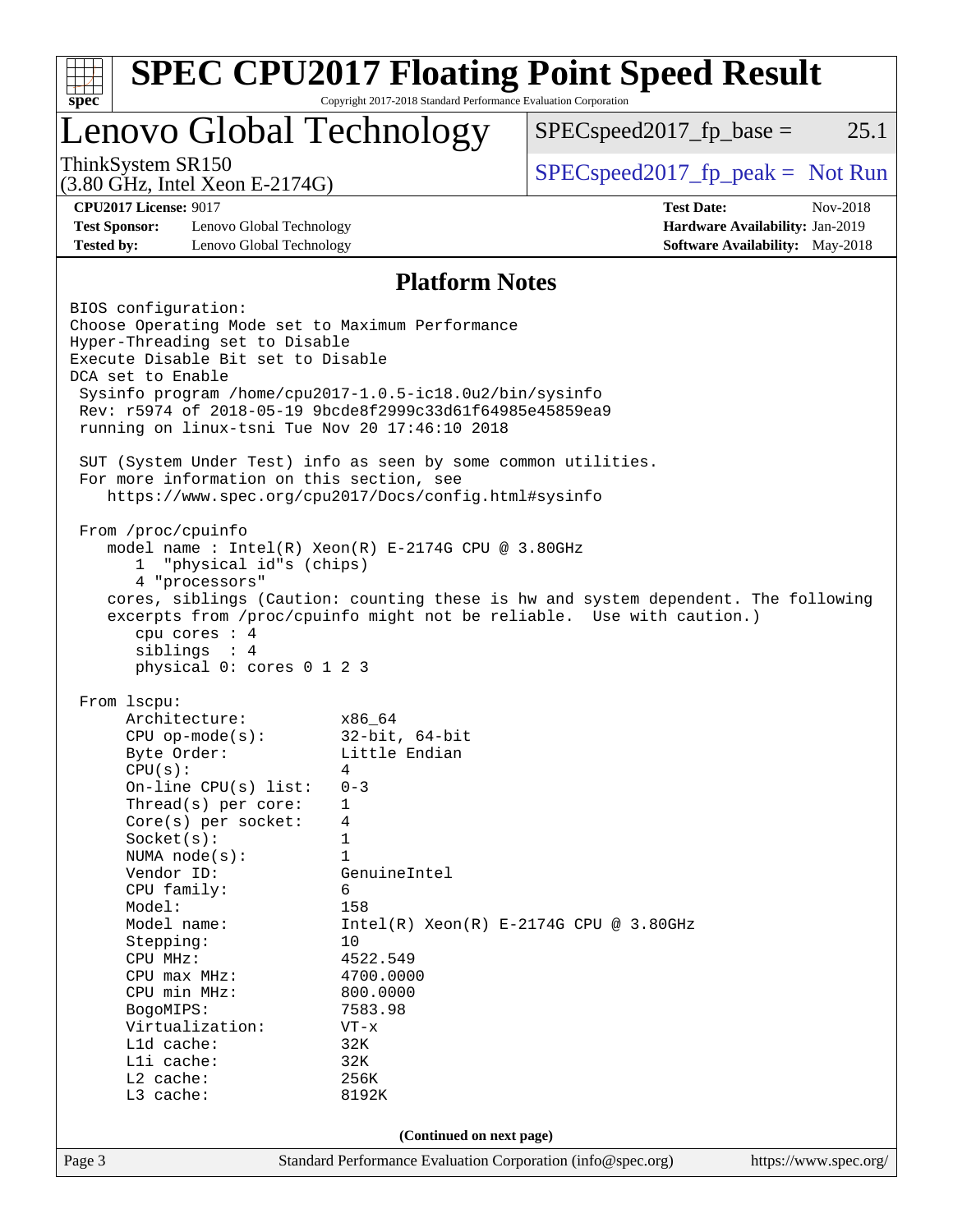| $spec^*$                                                                                                                                                                                                                                                                                                                                                                                                                                                                                                                                                                                                                                                                                                                                                                   | Copyright 2017-2018 Standard Performance Evaluation Corporation                                                                                       | <b>SPEC CPU2017 Floating Point Speed Result</b> |                                        |
|----------------------------------------------------------------------------------------------------------------------------------------------------------------------------------------------------------------------------------------------------------------------------------------------------------------------------------------------------------------------------------------------------------------------------------------------------------------------------------------------------------------------------------------------------------------------------------------------------------------------------------------------------------------------------------------------------------------------------------------------------------------------------|-------------------------------------------------------------------------------------------------------------------------------------------------------|-------------------------------------------------|----------------------------------------|
| <b>Lenovo Global Technology</b>                                                                                                                                                                                                                                                                                                                                                                                                                                                                                                                                                                                                                                                                                                                                            |                                                                                                                                                       | $SPEC speed2017fp base =$                       | 25.1                                   |
| ThinkSystem SR150<br>$(3.80 \text{ GHz}, \text{Intel Xeon E-2174G})$                                                                                                                                                                                                                                                                                                                                                                                                                                                                                                                                                                                                                                                                                                       |                                                                                                                                                       | $SPEC speed2017fr peak = Not Run$               |                                        |
| <b>CPU2017 License: 9017</b>                                                                                                                                                                                                                                                                                                                                                                                                                                                                                                                                                                                                                                                                                                                                               |                                                                                                                                                       | <b>Test Date:</b>                               | Nov-2018                               |
| <b>Test Sponsor:</b><br>Lenovo Global Technology                                                                                                                                                                                                                                                                                                                                                                                                                                                                                                                                                                                                                                                                                                                           |                                                                                                                                                       |                                                 | Hardware Availability: Jan-2019        |
| <b>Tested by:</b><br>Lenovo Global Technology                                                                                                                                                                                                                                                                                                                                                                                                                                                                                                                                                                                                                                                                                                                              |                                                                                                                                                       |                                                 | <b>Software Availability:</b> May-2018 |
|                                                                                                                                                                                                                                                                                                                                                                                                                                                                                                                                                                                                                                                                                                                                                                            | <b>Platform Notes</b>                                                                                                                                 |                                                 |                                        |
| Hyper-Threading set to Disable<br>Execute Disable Bit set to Disable<br>DCA set to Enable<br>Sysinfo program /home/cpu2017-1.0.5-ic18.0u2/bin/sysinfo<br>Rev: r5974 of 2018-05-19 9bcde8f2999c33d61f64985e45859ea9<br>running on linux-tsni Tue Nov 20 17:46:10 2018<br>SUT (System Under Test) info as seen by some common utilities.<br>For more information on this section, see<br>https://www.spec.org/cpu2017/Docs/config.html#sysinfo<br>From /proc/cpuinfo<br>model name : Intel(R) Xeon(R) E-2174G CPU @ 3.80GHz<br>"physical id"s (chips)<br>1<br>4 "processors"<br>cores, siblings (Caution: counting these is hw and system dependent. The following<br>excerpts from /proc/cpuinfo might not be reliable. Use with caution.)<br>cpu cores : 4<br>siblings : 4 |                                                                                                                                                       |                                                 |                                        |
| physical 0: cores 0 1 2 3<br>From 1scpu:<br>Architecture:<br>$CPU$ op-mode(s):<br>Byte Order:                                                                                                                                                                                                                                                                                                                                                                                                                                                                                                                                                                                                                                                                              | x86 64<br>$32$ -bit, $64$ -bit<br>Little Endian                                                                                                       |                                                 |                                        |
| CPU(s):<br>On-line CPU(s) list:<br>Thread(s) per core:<br>Core(s) per socket:<br>Socket(s):<br>NUMA $node(s)$ :<br>Vendor ID:                                                                                                                                                                                                                                                                                                                                                                                                                                                                                                                                                                                                                                              | 4<br>$0 - 3$<br>1<br>4<br>1<br>$\mathbf{1}$<br>GenuineIntel                                                                                           |                                                 |                                        |
| CPU family:<br>Model:<br>Model name:<br>Stepping:<br>CPU MHz:<br>CPU max MHz:<br>CPU min MHz:<br>BogoMIPS:<br>Virtualization:<br>Lld cache:<br>Lli cache:<br>L2 cache:<br>L3 cache:                                                                                                                                                                                                                                                                                                                                                                                                                                                                                                                                                                                        | 6<br>158<br>$Intel(R) Xeon(R) E-2174G CPU @ 3.80GHz$<br>10<br>4522.549<br>4700.0000<br>800.0000<br>7583.98<br>$VT - x$<br>32K<br>32K<br>256K<br>8192K |                                                 |                                        |
|                                                                                                                                                                                                                                                                                                                                                                                                                                                                                                                                                                                                                                                                                                                                                                            |                                                                                                                                                       |                                                 |                                        |
| Page 3                                                                                                                                                                                                                                                                                                                                                                                                                                                                                                                                                                                                                                                                                                                                                                     | (Continued on next page)<br>Standard Performance Evaluation Corporation (info@spec.org)                                                               |                                                 | https://www.spec.org/                  |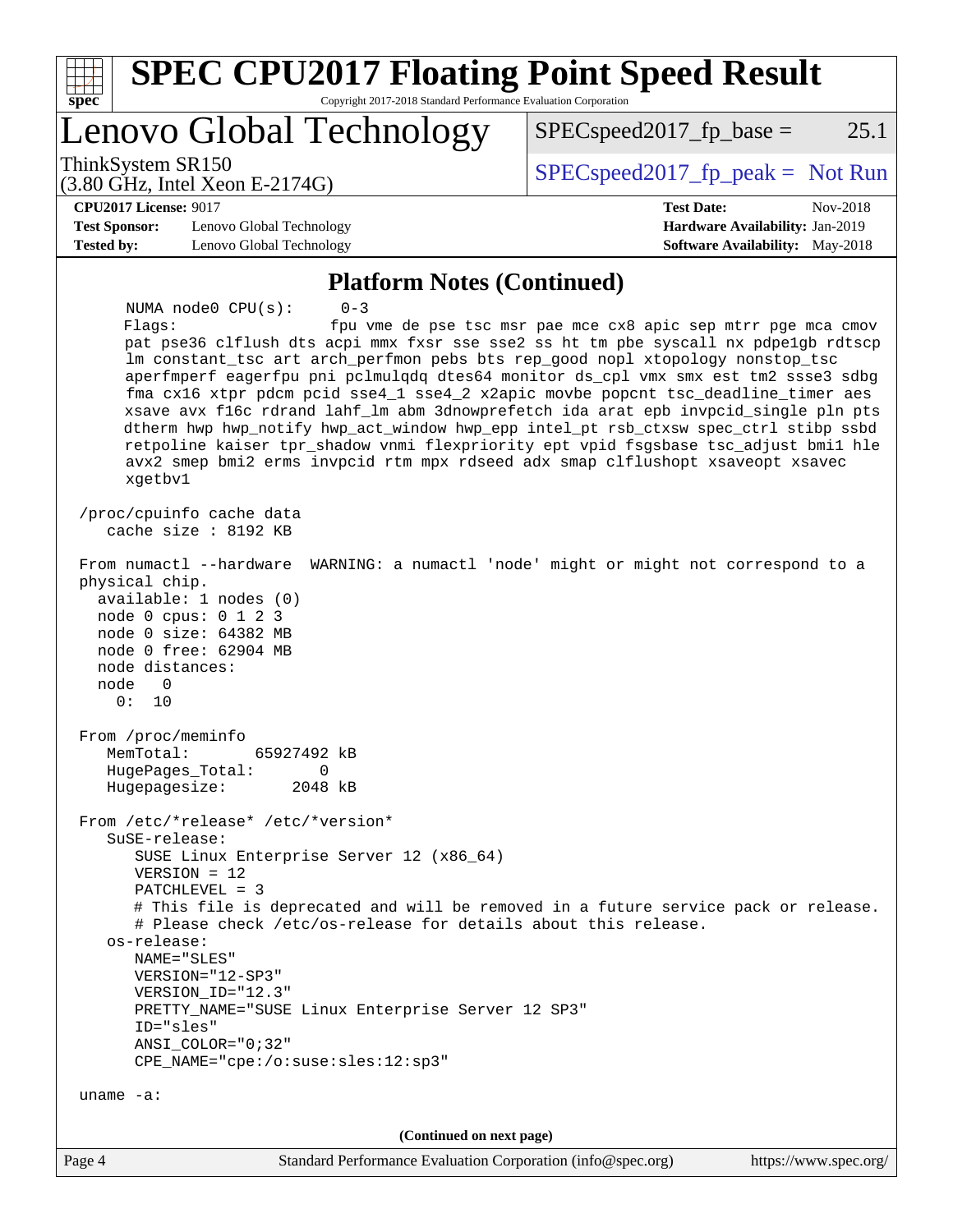| <b>SPEC CPU2017 Floating Point Speed Result</b><br>Copyright 2017-2018 Standard Performance Evaluation Corporation<br>spec <sup>®</sup>                                                                                                                                                                                                                                                                                                                                                                                                                                                                                                                                                                                                                           |                                                                                                            |
|-------------------------------------------------------------------------------------------------------------------------------------------------------------------------------------------------------------------------------------------------------------------------------------------------------------------------------------------------------------------------------------------------------------------------------------------------------------------------------------------------------------------------------------------------------------------------------------------------------------------------------------------------------------------------------------------------------------------------------------------------------------------|------------------------------------------------------------------------------------------------------------|
| Lenovo Global Technology                                                                                                                                                                                                                                                                                                                                                                                                                                                                                                                                                                                                                                                                                                                                          | $SPEC speed2017_fp\_base =$<br>25.1                                                                        |
| ThinkSystem SR150<br>$(3.80 \text{ GHz}, \text{Intel Xeon E-2174G})$                                                                                                                                                                                                                                                                                                                                                                                                                                                                                                                                                                                                                                                                                              | $SPEC speed2017_fp\_peak = Not Run$                                                                        |
| <b>CPU2017 License: 9017</b><br><b>Test Sponsor:</b><br>Lenovo Global Technology<br><b>Tested by:</b><br>Lenovo Global Technology                                                                                                                                                                                                                                                                                                                                                                                                                                                                                                                                                                                                                                 | <b>Test Date:</b><br>Nov-2018<br>Hardware Availability: Jan-2019<br><b>Software Availability:</b> May-2018 |
| <b>Platform Notes (Continued)</b>                                                                                                                                                                                                                                                                                                                                                                                                                                                                                                                                                                                                                                                                                                                                 |                                                                                                            |
| $0 - 3$<br>NUMA $node0$ $CPU(s)$ :<br>Flags:<br>pat pse36 clflush dts acpi mmx fxsr sse sse2 ss ht tm pbe syscall nx pdpelgb rdtscp<br>lm constant_tsc art arch_perfmon pebs bts rep_good nopl xtopology nonstop_tsc<br>aperfmperf eagerfpu pni pclmulqdq dtes64 monitor ds_cpl vmx smx est tm2 ssse3 sdbg<br>fma cx16 xtpr pdcm pcid sse4_1 sse4_2 x2apic movbe popcnt tsc_deadline_timer aes<br>xsave avx f16c rdrand lahf_lm abm 3dnowprefetch ida arat epb invpcid_single pln pts<br>dtherm hwp hwp_notify hwp_act_window hwp_epp intel_pt rsb_ctxsw spec_ctrl stibp ssbd<br>retpoline kaiser tpr_shadow vnmi flexpriority ept vpid fsgsbase tsc_adjust bmil hle<br>avx2 smep bmi2 erms invpcid rtm mpx rdseed adx smap clflushopt xsaveopt xsavec<br>xgetbv1 | fpu vme de pse tsc msr pae mce cx8 apic sep mtrr pge mca cmov                                              |
| /proc/cpuinfo cache data<br>cache size : 8192 KB                                                                                                                                                                                                                                                                                                                                                                                                                                                                                                                                                                                                                                                                                                                  |                                                                                                            |
| From numactl --hardware<br>physical chip.<br>available: 1 nodes (0)<br>node 0 cpus: 0 1 2 3<br>node 0 size: 64382 MB<br>node 0 free: 62904 MB<br>node distances:<br>node<br>$\Omega$<br>0:<br>10                                                                                                                                                                                                                                                                                                                                                                                                                                                                                                                                                                  | WARNING: a numactl 'node' might or might not correspond to a                                               |
| From /proc/meminfo<br>MemTotal:<br>65927492 kB<br>HugePages_Total:<br>0<br>Hugepagesize:<br>2048 kB                                                                                                                                                                                                                                                                                                                                                                                                                                                                                                                                                                                                                                                               |                                                                                                            |
| From /etc/*release* /etc/*version*<br>SuSE-release:<br>SUSE Linux Enterprise Server 12 (x86_64)<br>$VERSION = 12$<br>$PATCHLEVEL = 3$                                                                                                                                                                                                                                                                                                                                                                                                                                                                                                                                                                                                                             |                                                                                                            |
| # This file is deprecated and will be removed in a future service pack or release.<br># Please check /etc/os-release for details about this release.<br>os-release:<br>NAME="SLES"<br>VERSION="12-SP3"<br>VERSION_ID="12.3"<br>PRETTY_NAME="SUSE Linux Enterprise Server 12 SP3"<br>ID="sles"<br>$ANSI\_COLOR = "0; 32"$<br>CPE_NAME="cpe:/o:suse:sles:12:sp3"                                                                                                                                                                                                                                                                                                                                                                                                    |                                                                                                            |
| uname $-a$ :                                                                                                                                                                                                                                                                                                                                                                                                                                                                                                                                                                                                                                                                                                                                                      |                                                                                                            |
| (Continued on next page)                                                                                                                                                                                                                                                                                                                                                                                                                                                                                                                                                                                                                                                                                                                                          |                                                                                                            |
| Page 4<br>Standard Performance Evaluation Corporation (info@spec.org)                                                                                                                                                                                                                                                                                                                                                                                                                                                                                                                                                                                                                                                                                             | https://www.spec.org/                                                                                      |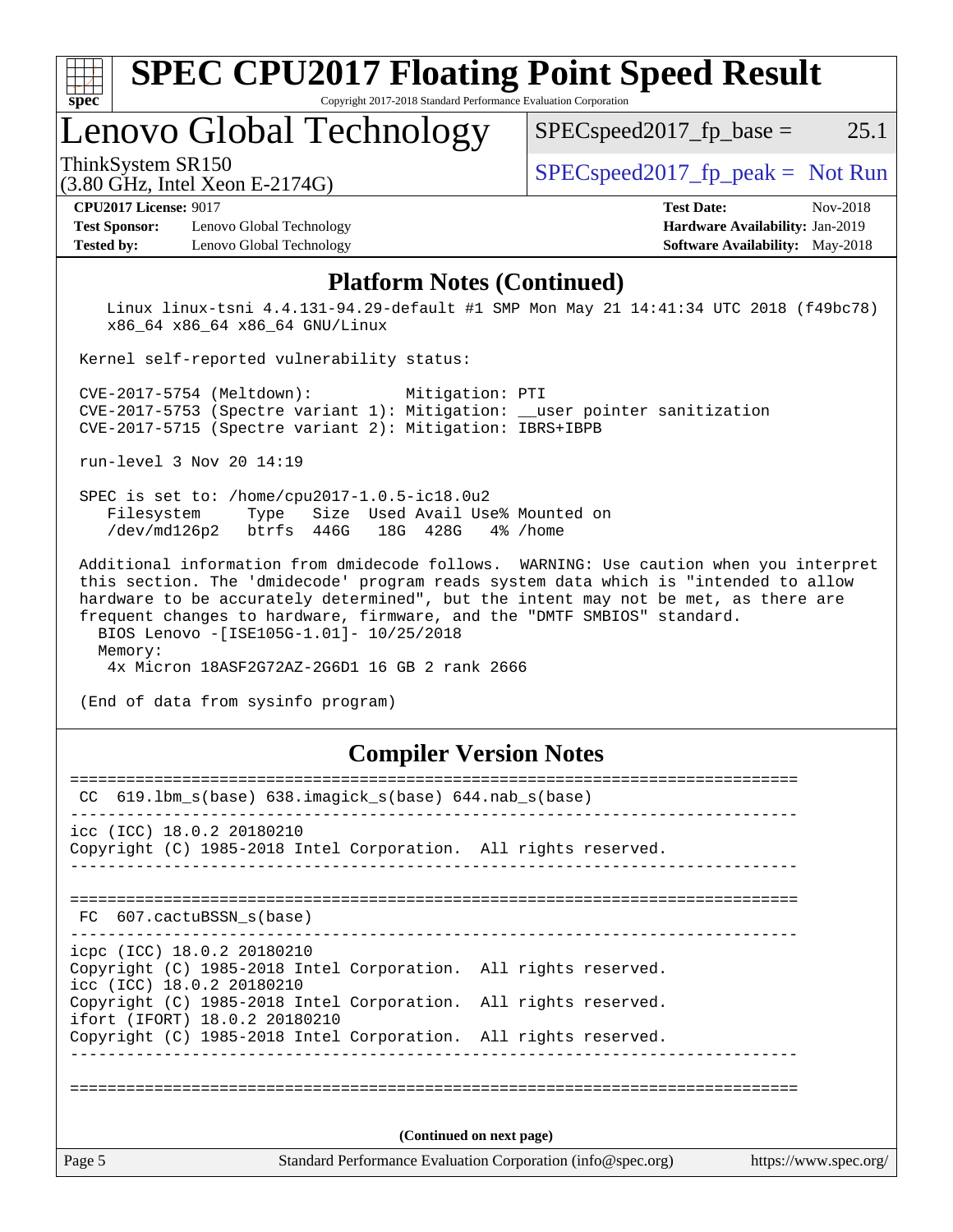| $sp\overline{ec}$                                                                                                                                                                                                                                                                                  | <b>SPEC CPU2017 Floating Point Speed Result</b><br>Copyright 2017-2018 Standard Performance Evaluation Corporation                                                                                        |
|----------------------------------------------------------------------------------------------------------------------------------------------------------------------------------------------------------------------------------------------------------------------------------------------------|-----------------------------------------------------------------------------------------------------------------------------------------------------------------------------------------------------------|
| Lenovo Global Technology                                                                                                                                                                                                                                                                           | 25.1<br>$SPEC speed2017_fp\_base =$                                                                                                                                                                       |
| ThinkSystem SR150<br>$(3.80 \text{ GHz}, \text{Intel Xeon E-2174G})$                                                                                                                                                                                                                               | $SPEC speed2017fr peak = Not Run$                                                                                                                                                                         |
| <b>CPU2017 License: 9017</b><br><b>Test Sponsor:</b><br>Lenovo Global Technology<br>Lenovo Global Technology<br><b>Tested by:</b>                                                                                                                                                                  | <b>Test Date:</b><br>Nov-2018<br><b>Hardware Availability: Jan-2019</b><br><b>Software Availability:</b> May-2018                                                                                         |
| x86_64 x86_64 x86_64 GNU/Linux<br>Kernel self-reported vulnerability status:<br>Mitigation: PTI<br>CVE-2017-5754 (Meltdown):<br>CVE-2017-5753 (Spectre variant 1): Mitigation: __user pointer sanitization<br>CVE-2017-5715 (Spectre variant 2): Mitigation: IBRS+IBPB<br>run-level 3 Nov 20 14:19 | Linux linux-tsni 4.4.131-94.29-default #1 SMP Mon May 21 14:41:34 UTC 2018 (f49bc78)                                                                                                                      |
| SPEC is set to: /home/cpu2017-1.0.5-ic18.0u2<br>Filesystem<br>Type<br>/dev/md126p2 btrfs 446G 18G 428G                                                                                                                                                                                             | Size Used Avail Use% Mounted on<br>4% /home                                                                                                                                                               |
|                                                                                                                                                                                                                                                                                                    | Additional information from dmidecode follows. WARNING: Use caution when you interpret<br>to consider the model of distinct descriptions in the distinct development of the distinct development of the s |

 this section. The 'dmidecode' program reads system data which is "intended to allow hardware to be accurately determined", but the intent may not be met, as there are frequent changes to hardware, firmware, and the "DMTF SMBIOS" standard. BIOS Lenovo -[ISE105G-1.01]- 10/25/2018 Memory: 4x Micron 18ASF2G72AZ-2G6D1 16 GB 2 rank 2666

(End of data from sysinfo program)

### **[Compiler Version Notes](http://www.spec.org/auto/cpu2017/Docs/result-fields.html#CompilerVersionNotes)**

| CC                                                      | $619.1$ bm_s(base) $638.imagick_s(base)$ $644.nab_s(base)$      |                                                             |                       |
|---------------------------------------------------------|-----------------------------------------------------------------|-------------------------------------------------------------|-----------------------|
| icc (ICC) 18.0.2 20180210                               | Copyright (C) 1985-2018 Intel Corporation. All rights reserved. |                                                             |                       |
| FC 607.cactuBSSN s(base)                                |                                                                 |                                                             |                       |
| icpc (ICC) 18.0.2 20180210<br>icc (ICC) 18.0.2 20180210 | Copyright (C) 1985-2018 Intel Corporation. All rights reserved. |                                                             |                       |
| ifort (IFORT) 18.0.2 20180210                           | Copyright (C) 1985-2018 Intel Corporation. All rights reserved. |                                                             |                       |
|                                                         | Copyright (C) 1985-2018 Intel Corporation. All rights reserved. |                                                             |                       |
|                                                         |                                                                 |                                                             |                       |
|                                                         |                                                                 | (Continued on next page)                                    |                       |
| Page 5                                                  |                                                                 | Standard Performance Evaluation Corporation (info@spec.org) | https://www.spec.org/ |
|                                                         |                                                                 |                                                             |                       |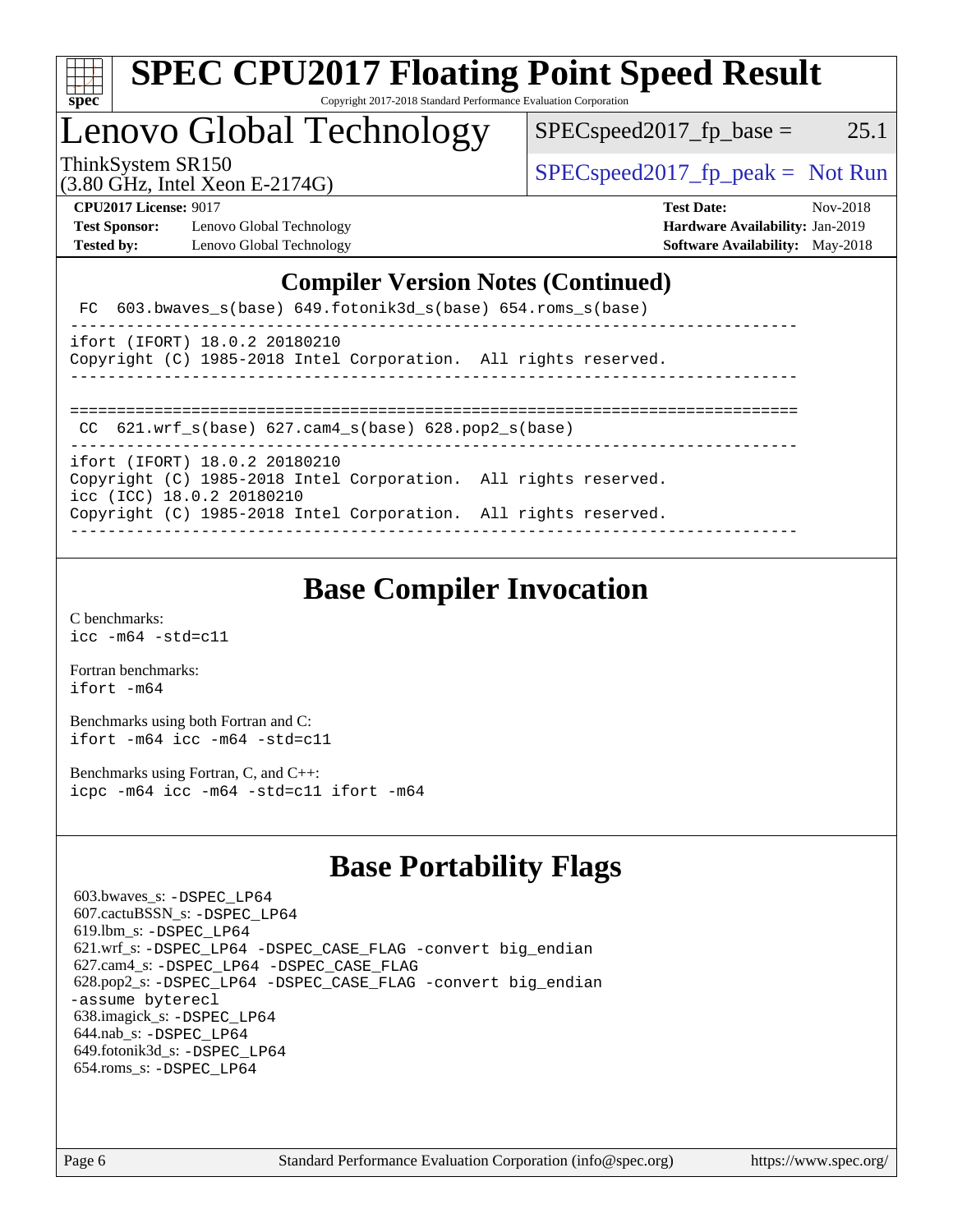| c<br>е |  |  |  |  |  |  |
|--------|--|--|--|--|--|--|

#### **[SPEC CPU2017 Floating Point Speed Result](http://www.spec.org/auto/cpu2017/Docs/result-fields.html#SPECCPU2017FloatingPointSpeedResult)** Copyright 2017-2018 Standard Performance Evaluation Corporation

# Lenovo Global Technology

ThinkSystem SR150  $SPEC speed2017$  [p\_peak = Not Run

 $SPEC speed2017_f p\_base = 25.1$ 

(3.80 GHz, Intel Xeon E-2174G)

**[Test Sponsor:](http://www.spec.org/auto/cpu2017/Docs/result-fields.html#TestSponsor)** Lenovo Global Technology **[Hardware Availability:](http://www.spec.org/auto/cpu2017/Docs/result-fields.html#HardwareAvailability)** Jan-2019

**[CPU2017 License:](http://www.spec.org/auto/cpu2017/Docs/result-fields.html#CPU2017License)** 9017 **[Test Date:](http://www.spec.org/auto/cpu2017/Docs/result-fields.html#TestDate)** Nov-2018 **[Tested by:](http://www.spec.org/auto/cpu2017/Docs/result-fields.html#Testedby)** Lenovo Global Technology **[Software Availability:](http://www.spec.org/auto/cpu2017/Docs/result-fields.html#SoftwareAvailability)** May-2018

#### **[Compiler Version Notes \(Continued\)](http://www.spec.org/auto/cpu2017/Docs/result-fields.html#CompilerVersionNotes)**

|  |  | FC $603.bwaves$ s(base) $649.fotonik3d$ s(base) $654.roms$ s(base) |  |
|--|--|--------------------------------------------------------------------|--|
|--|--|--------------------------------------------------------------------|--|

|  | ifort (IFORT) 18.0.2 20180210 |                                                                 |  |  |  |
|--|-------------------------------|-----------------------------------------------------------------|--|--|--|
|  |                               | Copyright (C) 1985-2018 Intel Corporation. All rights reserved. |  |  |  |

------------------------------------------------------------------------------

==============================================================================

 CC 621.wrf\_s(base) 627.cam4\_s(base) 628.pop2\_s(base) ------------------------------------------------------------------------------

ifort (IFORT) 18.0.2 20180210 Copyright (C) 1985-2018 Intel Corporation. All rights reserved.

icc (ICC) 18.0.2 20180210

Copyright (C) 1985-2018 Intel Corporation. All rights reserved. ------------------------------------------------------------------------------

# **[Base Compiler Invocation](http://www.spec.org/auto/cpu2017/Docs/result-fields.html#BaseCompilerInvocation)**

[C benchmarks](http://www.spec.org/auto/cpu2017/Docs/result-fields.html#Cbenchmarks): [icc -m64 -std=c11](http://www.spec.org/cpu2017/results/res2018q4/cpu2017-20181126-09884.flags.html#user_CCbase_intel_icc_64bit_c11_33ee0cdaae7deeeab2a9725423ba97205ce30f63b9926c2519791662299b76a0318f32ddfffdc46587804de3178b4f9328c46fa7c2b0cd779d7a61945c91cd35)

[Fortran benchmarks](http://www.spec.org/auto/cpu2017/Docs/result-fields.html#Fortranbenchmarks): [ifort -m64](http://www.spec.org/cpu2017/results/res2018q4/cpu2017-20181126-09884.flags.html#user_FCbase_intel_ifort_64bit_24f2bb282fbaeffd6157abe4f878425411749daecae9a33200eee2bee2fe76f3b89351d69a8130dd5949958ce389cf37ff59a95e7a40d588e8d3a57e0c3fd751)

[Benchmarks using both Fortran and C](http://www.spec.org/auto/cpu2017/Docs/result-fields.html#BenchmarksusingbothFortranandC): [ifort -m64](http://www.spec.org/cpu2017/results/res2018q4/cpu2017-20181126-09884.flags.html#user_CC_FCbase_intel_ifort_64bit_24f2bb282fbaeffd6157abe4f878425411749daecae9a33200eee2bee2fe76f3b89351d69a8130dd5949958ce389cf37ff59a95e7a40d588e8d3a57e0c3fd751) [icc -m64 -std=c11](http://www.spec.org/cpu2017/results/res2018q4/cpu2017-20181126-09884.flags.html#user_CC_FCbase_intel_icc_64bit_c11_33ee0cdaae7deeeab2a9725423ba97205ce30f63b9926c2519791662299b76a0318f32ddfffdc46587804de3178b4f9328c46fa7c2b0cd779d7a61945c91cd35)

[Benchmarks using Fortran, C, and C++:](http://www.spec.org/auto/cpu2017/Docs/result-fields.html#BenchmarksusingFortranCandCXX) [icpc -m64](http://www.spec.org/cpu2017/results/res2018q4/cpu2017-20181126-09884.flags.html#user_CC_CXX_FCbase_intel_icpc_64bit_4ecb2543ae3f1412ef961e0650ca070fec7b7afdcd6ed48761b84423119d1bf6bdf5cad15b44d48e7256388bc77273b966e5eb805aefd121eb22e9299b2ec9d9) [icc -m64 -std=c11](http://www.spec.org/cpu2017/results/res2018q4/cpu2017-20181126-09884.flags.html#user_CC_CXX_FCbase_intel_icc_64bit_c11_33ee0cdaae7deeeab2a9725423ba97205ce30f63b9926c2519791662299b76a0318f32ddfffdc46587804de3178b4f9328c46fa7c2b0cd779d7a61945c91cd35) [ifort -m64](http://www.spec.org/cpu2017/results/res2018q4/cpu2017-20181126-09884.flags.html#user_CC_CXX_FCbase_intel_ifort_64bit_24f2bb282fbaeffd6157abe4f878425411749daecae9a33200eee2bee2fe76f3b89351d69a8130dd5949958ce389cf37ff59a95e7a40d588e8d3a57e0c3fd751)

# **[Base Portability Flags](http://www.spec.org/auto/cpu2017/Docs/result-fields.html#BasePortabilityFlags)**

 603.bwaves\_s: [-DSPEC\\_LP64](http://www.spec.org/cpu2017/results/res2018q4/cpu2017-20181126-09884.flags.html#suite_basePORTABILITY603_bwaves_s_DSPEC_LP64) 607.cactuBSSN\_s: [-DSPEC\\_LP64](http://www.spec.org/cpu2017/results/res2018q4/cpu2017-20181126-09884.flags.html#suite_basePORTABILITY607_cactuBSSN_s_DSPEC_LP64) 619.lbm\_s: [-DSPEC\\_LP64](http://www.spec.org/cpu2017/results/res2018q4/cpu2017-20181126-09884.flags.html#suite_basePORTABILITY619_lbm_s_DSPEC_LP64) 621.wrf\_s: [-DSPEC\\_LP64](http://www.spec.org/cpu2017/results/res2018q4/cpu2017-20181126-09884.flags.html#suite_basePORTABILITY621_wrf_s_DSPEC_LP64) [-DSPEC\\_CASE\\_FLAG](http://www.spec.org/cpu2017/results/res2018q4/cpu2017-20181126-09884.flags.html#b621.wrf_s_baseCPORTABILITY_DSPEC_CASE_FLAG) [-convert big\\_endian](http://www.spec.org/cpu2017/results/res2018q4/cpu2017-20181126-09884.flags.html#user_baseFPORTABILITY621_wrf_s_convert_big_endian_c3194028bc08c63ac5d04de18c48ce6d347e4e562e8892b8bdbdc0214820426deb8554edfa529a3fb25a586e65a3d812c835984020483e7e73212c4d31a38223) 627.cam4\_s: [-DSPEC\\_LP64](http://www.spec.org/cpu2017/results/res2018q4/cpu2017-20181126-09884.flags.html#suite_basePORTABILITY627_cam4_s_DSPEC_LP64) [-DSPEC\\_CASE\\_FLAG](http://www.spec.org/cpu2017/results/res2018q4/cpu2017-20181126-09884.flags.html#b627.cam4_s_baseCPORTABILITY_DSPEC_CASE_FLAG) 628.pop2\_s: [-DSPEC\\_LP64](http://www.spec.org/cpu2017/results/res2018q4/cpu2017-20181126-09884.flags.html#suite_basePORTABILITY628_pop2_s_DSPEC_LP64) [-DSPEC\\_CASE\\_FLAG](http://www.spec.org/cpu2017/results/res2018q4/cpu2017-20181126-09884.flags.html#b628.pop2_s_baseCPORTABILITY_DSPEC_CASE_FLAG) [-convert big\\_endian](http://www.spec.org/cpu2017/results/res2018q4/cpu2017-20181126-09884.flags.html#user_baseFPORTABILITY628_pop2_s_convert_big_endian_c3194028bc08c63ac5d04de18c48ce6d347e4e562e8892b8bdbdc0214820426deb8554edfa529a3fb25a586e65a3d812c835984020483e7e73212c4d31a38223) [-assume byterecl](http://www.spec.org/cpu2017/results/res2018q4/cpu2017-20181126-09884.flags.html#user_baseFPORTABILITY628_pop2_s_assume_byterecl_7e47d18b9513cf18525430bbf0f2177aa9bf368bc7a059c09b2c06a34b53bd3447c950d3f8d6c70e3faf3a05c8557d66a5798b567902e8849adc142926523472) 638.imagick\_s: [-DSPEC\\_LP64](http://www.spec.org/cpu2017/results/res2018q4/cpu2017-20181126-09884.flags.html#suite_basePORTABILITY638_imagick_s_DSPEC_LP64) 644.nab\_s: [-DSPEC\\_LP64](http://www.spec.org/cpu2017/results/res2018q4/cpu2017-20181126-09884.flags.html#suite_basePORTABILITY644_nab_s_DSPEC_LP64) 649.fotonik3d\_s: [-DSPEC\\_LP64](http://www.spec.org/cpu2017/results/res2018q4/cpu2017-20181126-09884.flags.html#suite_basePORTABILITY649_fotonik3d_s_DSPEC_LP64) 654.roms\_s: [-DSPEC\\_LP64](http://www.spec.org/cpu2017/results/res2018q4/cpu2017-20181126-09884.flags.html#suite_basePORTABILITY654_roms_s_DSPEC_LP64)